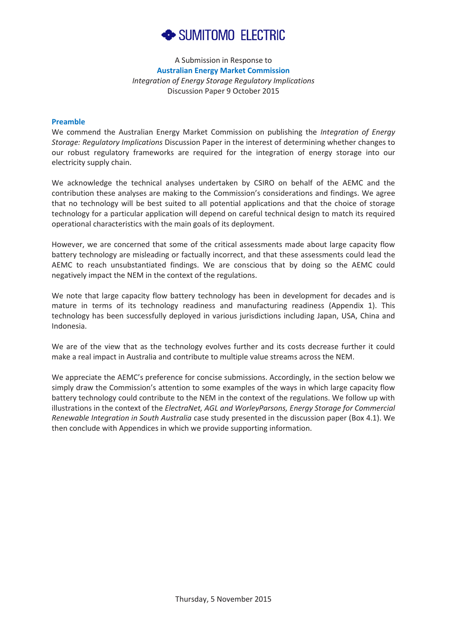

A Submission in Response to **Australian Energy Market Commission** *Integration of Energy Storage Regulatory Implications* Discussion Paper 9 October 2015

#### **Preamble** We note that large capacity flow batteries are not explosive; they are designed with first firmly seen are designed with first firmly seen as  $\alpha$  are designed with first first firmly seen as  $\alpha$  and  $\alpha$  are designed wit

We commend the Australian Energy Market Commission on publishing the Integration of Energy *Storage: Regulatory Implications* Discussion Paper in the interest of determining whether changes to Storage: Regulatory Implications Discussion Paper in the interest of determining whether changes to<br>our robust regulatory frameworks are required for the integration of energy storage into our electricity supply chain.

We acknowledge the technical analyses undertaken by CSIRO on behalf of the AEMC and the **3.2.2** contribution these analyses are making to the Commission's considerations and findings. We agree contribution these analyses are making to the Commission's considerations and findings. We agree<br>that no technology will be best suited to all potential applications and that the choice of storage technology for a particular application will depend on careful technical design to match its required<br>operational characteristics with the main goals of its deployment. operational characteristics with the main goals of its deployment.

However, we are concerned that some of the critical assessments made about large capacity flow battery technology are misleading or factually incorrect, and that these assessments could lead the AEMC to reach unsubstantiated findings. We are conscious that by doing so the AEMC could negatively impact the NEM in the context of the regulations. However, we are concerned that some of the critical assessments made about large capacity flow<br>battery technology are misleading or factually incorrect, and that these assessments could lead the<br>AEMC to reach unsubstantiat

We note that large capacity flow battery technology has been in development for decades and is mature in terms of its technology readiness and manufacturing readiness (Appendix 1). This mature in terms of its technology readiness and manufacturing readiness (Appendix 1). This<br>technology has been successfully deployed in various jurisdictions including Japan, USA, China and Indonesia.

We are of the view that as the technology evolves further and its costs decrease further it could<br>make a real impact in Australia and contribute to multiple value streams across the NEM. make a real impact in Australia and contribute to multiple value streams across the NEM.

We appreciate the AEMC's preference for concise submissions. Accordingly, in the section below we simply draw the Commission's attention to some examples of the ways in which large capacity flow battery technology could contribute to the NEM in the context of the regulations. We follow up with<br>illustrations in the context of the *ElectraNet, AGL and WorleyParsons, Energy Storage for Commercial*<br>*Renewable Integrat* illustrations in the context of the *ElectraNet, AGL and WorleyParsons, Energy Storage for Commercial Renewable Integration in South Australia* case study presented in the discussion paper (Box 4.1). We then conclude with Appendices in which we provide supporting information. A Submiss<br>
Anastralian Ener<br>
Australian Ener<br>
Australian Ener<br>
We commend the Australian Energy Market<br>
Storage: Regulatory Implications Discussion Pa<br>
electricity supply chain.<br>
We acknowledge the technical analyses uncon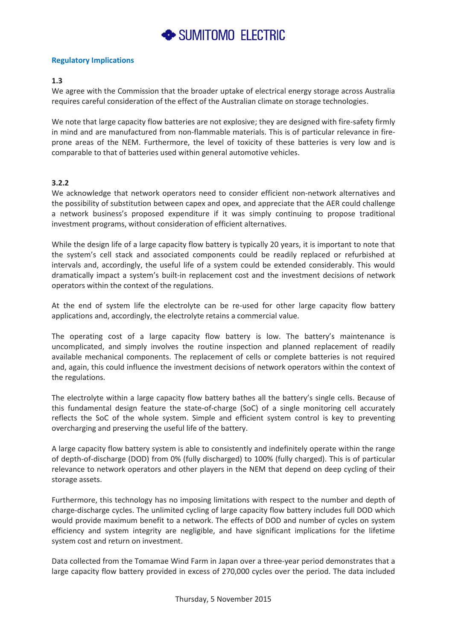

### **Regulatory Implications**

# **1.3**

We agree with the Commission that the broader uptake of electrical energy storage across Australia requires careful consideration of the effect of the Australian climate on storage technologies.

We note that large capacity flow batteries are not explosive; they are designed with fire-safety firmly in mind and are manufactured from non-flammable materials. This is of particular relevance in fireprone areas of the NEM. Furthermore, the level of toxicity of these batteries is very low and is comparable to that of batteries used within general automotive vehicles.

# **3.2.2**

We acknowledge that network operators need to consider efficient non-network alternatives and the possibility of substitution between capex and opex, and appreciate that the AER could challenge a network business's proposed expenditure if it was simply continuing to propose traditional investment programs, without consideration of efficient alternatives.

While the design life of a large capacity flow battery is typically 20 years, it is important to note that the system's cell stack and associated components could be readily replaced or refurbished at intervals and, accordingly, the useful life of a system could be extended considerably. This would dramatically impact a system's built-in replacement cost and the investment decisions of network operators within the context of the regulations.

At the end of system life the electrolyte can be re-used for other large capacity flow battery applications and, accordingly, the electrolyte retains a commercial value.

The operating cost of a large capacity flow battery is low. The battery's maintenance is uncomplicated, and simply involves the routine inspection and planned replacement of readily available mechanical components. The replacement of cells or complete batteries is not required and, again, this could influence the investment decisions of network operators within the context of the regulations.

The electrolyte within a large capacity flow battery bathes all the battery's single cells. Because of this fundamental design feature the state-of-charge (SoC) of a single monitoring cell accurately reflects the SoC of the whole system. Simple and efficient system control is key to preventing overcharging and preserving the useful life of the battery.

A large capacity flow battery system is able to consistently and indefinitely operate within the range of depth-of-discharge (DOD) from 0% (fully discharged) to 100% (fully charged). This is of particular relevance to network operators and other players in the NEM that depend on deep cycling of their storage assets.

Furthermore, this technology has no imposing limitations with respect to the number and depth of charge-discharge cycles. The unlimited cycling of large capacity flow battery includes full DOD which would provide maximum benefit to a network. The effects of DOD and number of cycles on system efficiency and system integrity are negligible, and have significant implications for the lifetime system cost and return on investment.

Data collected from the Tomamae Wind Farm in Japan over a three-year period demonstrates that a large capacity flow battery provided in excess of 270,000 cycles over the period. The data included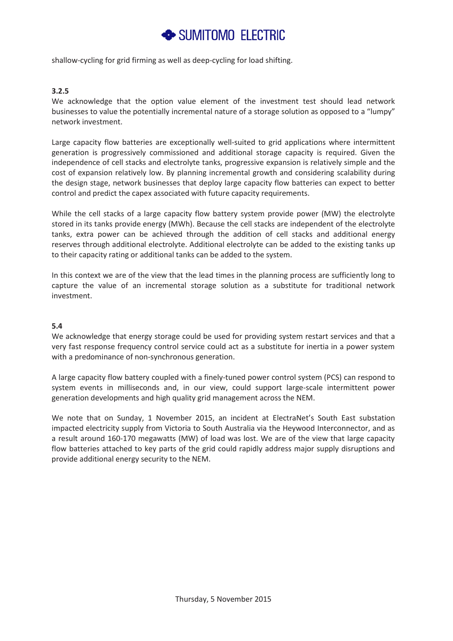# SUMITOMO ELECTRIC

shallow-cycling for grid firming as well as deep-cycling for load shifting.

### **3.2.5**

We acknowledge that the option value element of the investment test should lead network businesses to value the potentially incremental nature of a storage solution as opposed to a "lumpy" network investment.

Large capacity flow batteries are exceptionally well-suited to grid applications where intermittent generation is progressively commissioned and additional storage capacity is required. Given the independence of cell stacks and electrolyte tanks, progressive expansion is relatively simple and the cost of expansion relatively low. By planning incremental growth and considering scalability during the design stage, network businesses that deploy large capacity flow batteries can expect to better control and predict the capex associated with future capacity requirements.

While the cell stacks of a large capacity flow battery system provide power (MW) the electrolyte stored in its tanks provide energy (MWh). Because the cell stacks are independent of the electrolyte tanks, extra power can be achieved through the addition of cell stacks and additional energy reserves through additional electrolyte. Additional electrolyte can be added to the existing tanks up to their capacity rating or additional tanks can be added to the system.

In this context we are of the view that the lead times in the planning process are sufficiently long to capture the value of an incremental storage solution as a substitute for traditional network investment.

# **5.4**

We acknowledge that energy storage could be used for providing system restart services and that a very fast response frequency control service could act as a substitute for inertia in a power system with a predominance of non-synchronous generation.

A large capacity flow battery coupled with a finely-tuned power control system (PCS) can respond to system events in milliseconds and, in our view, could support large-scale intermittent power generation developments and high quality grid management across the NEM.

We note that on Sunday, 1 November 2015, an incident at ElectraNet's South East substation impacted electricity supply from Victoria to South Australia via the Heywood Interconnector, and as a result around 160-170 megawatts (MW) of load was lost. We are of the view that large capacity flow batteries attached to key parts of the grid could rapidly address major supply disruptions and provide additional energy security to the NEM.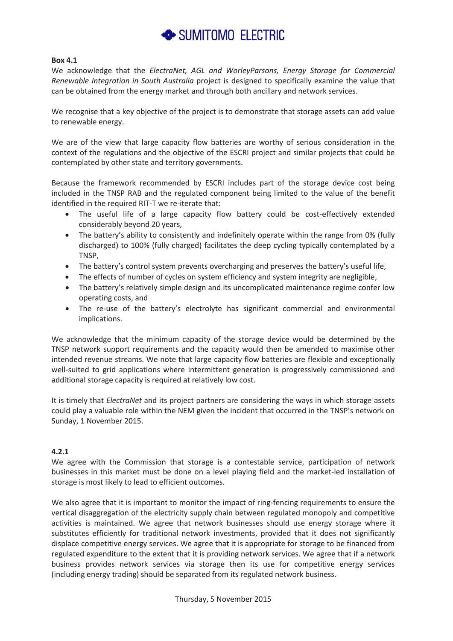

### **Box 4.1**

We acknowledge that the *ElectraNet, AGL and WorleyParsons, Energy Storage for Commercial Renewable Integration in South Australia* project is designed to specifically examine the value that can be obtained from the energy market and through both ancillary and network services.

We recognise that a key objective of the project is to demonstrate that storage assets can add value to renewable energy.

We are of the view that large capacity flow batteries are worthy of serious consideration in the context of the regulations and the objective of the ESCRI project and similar projects that could be contemplated by other state and territory governments.

Because the framework recommended by ESCRI includes part of the storage device cost being included in the TNSP RAB and the regulated component being limited to the value of the benefit identified in the required RIT-T we re-iterate that:

- The useful life of a large capacity flow battery could be cost-effectively extended considerably beyond 20 years,
- The battery's ability to consistently and indefinitely operate within the range from 0% (fully discharged) to 100% (fully charged) facilitates the deep cycling typically contemplated by a TNSP,
- The battery's control system prevents overcharging and preserves the battery's useful life,
- The effects of number of cycles on system efficiency and system integrity are negligible,
- The battery's relatively simple design and its uncomplicated maintenance regime confer low operating costs, and
- The re-use of the battery's electrolyte has significant commercial and environmental implications.

We acknowledge that the minimum capacity of the storage device would be determined by the TNSP network support requirements and the capacity would then be amended to maximise other intended revenue streams. We note that large capacity flow batteries are flexible and exceptionally well-suited to grid applications where intermittent generation is progressively commissioned and additional storage capacity is required at relatively low cost.

It is timely that *ElectraNet* and its project partners are considering the ways in which storage assets could play a valuable role within the NEM given the incident that occurred in the TNSP's network on Sunday, 1 November 2015.

### **4.2.1**

We agree with the Commission that storage is a contestable service, participation of network businesses in this market must be done on a level playing field and the market-led installation of storage is most likely to lead to efficient outcomes.

We also agree that it is important to monitor the impact of ring-fencing requirements to ensure the vertical disaggregation of the electricity supply chain between regulated monopoly and competitive activities is maintained. We agree that network businesses should use energy storage where it substitutes efficiently for traditional network investments, provided that it does not significantly displace competitive energy services. We agree that it is appropriate for storage to be financed from regulated expenditure to the extent that it is providing network services. We agree that if a network business provides network services via storage then its use for competitive energy services (including energy trading) should be separated from its regulated network business.